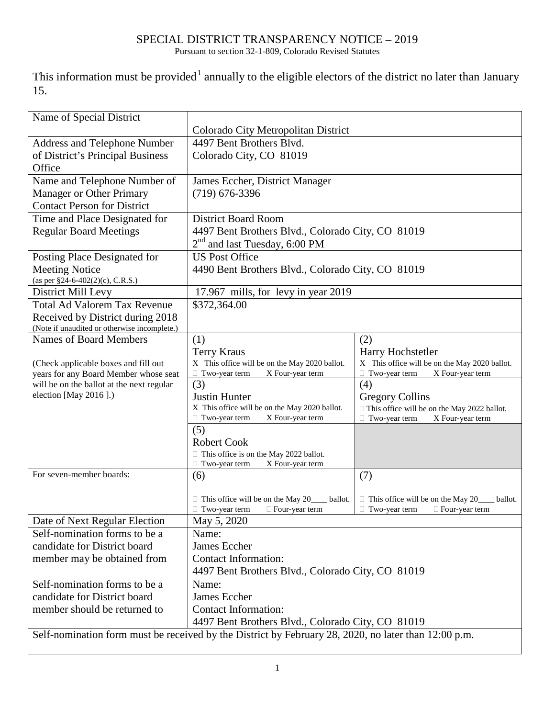## SPECIAL DISTRICT TRANSPARENCY NOTICE – 2019

Pursuant to section 32-1-809, Colorado Revised Statutes

This information must be provided<sup>[1](#page-1-0)</sup> annually to the eligible electors of the district no later than January 15.

| Name of Special District                                                                             |                                                                     |                                                                    |  |
|------------------------------------------------------------------------------------------------------|---------------------------------------------------------------------|--------------------------------------------------------------------|--|
|                                                                                                      | Colorado City Metropolitan District                                 |                                                                    |  |
| <b>Address and Telephone Number</b>                                                                  | 4497 Bent Brothers Blvd.                                            |                                                                    |  |
| of District's Principal Business                                                                     | Colorado City, CO 81019                                             |                                                                    |  |
| Office                                                                                               |                                                                     |                                                                    |  |
| Name and Telephone Number of                                                                         | James Eccher, District Manager                                      |                                                                    |  |
| <b>Manager or Other Primary</b>                                                                      | $(719)$ 676-3396                                                    |                                                                    |  |
| <b>Contact Person for District</b>                                                                   |                                                                     |                                                                    |  |
| Time and Place Designated for                                                                        | <b>District Board Room</b>                                          |                                                                    |  |
| <b>Regular Board Meetings</b>                                                                        | 4497 Bent Brothers Blvd., Colorado City, CO 81019                   |                                                                    |  |
|                                                                                                      | $2nd$ and last Tuesday, 6:00 PM                                     |                                                                    |  |
| Posting Place Designated for                                                                         | <b>US Post Office</b>                                               |                                                                    |  |
| <b>Meeting Notice</b>                                                                                | 4490 Bent Brothers Blvd., Colorado City, CO 81019                   |                                                                    |  |
| (as per §24-6-402(2)(c), C.R.S.)                                                                     |                                                                     |                                                                    |  |
| District Mill Levy                                                                                   | 17.967 mills, for levy in year 2019                                 |                                                                    |  |
| <b>Total Ad Valorem Tax Revenue</b>                                                                  | \$372,364.00                                                        |                                                                    |  |
| Received by District during 2018                                                                     |                                                                     |                                                                    |  |
| (Note if unaudited or otherwise incomplete.)<br><b>Names of Board Members</b>                        |                                                                     |                                                                    |  |
|                                                                                                      | (1)                                                                 | (2)                                                                |  |
| (Check applicable boxes and fill out                                                                 | <b>Terry Kraus</b><br>X This office will be on the May 2020 ballot. | Harry Hochstetler<br>X This office will be on the May 2020 ballot. |  |
| years for any Board Member whose seat                                                                | $\Box$ Two-year term<br>X Four-year term                            | $\Box$ Two-year term<br>X Four-year term                           |  |
| will be on the ballot at the next regular                                                            | (3)                                                                 | (4)                                                                |  |
| election [May 2016].)                                                                                | Justin Hunter                                                       | <b>Gregory Collins</b>                                             |  |
|                                                                                                      | X This office will be on the May 2020 ballot.                       | □ This office will be on the May 2022 ballot.                      |  |
|                                                                                                      | X Four-year term<br>$\Box$ Two-year term                            | Two-year term<br>X Four-year term                                  |  |
|                                                                                                      | (5)                                                                 |                                                                    |  |
|                                                                                                      | <b>Robert Cook</b>                                                  |                                                                    |  |
|                                                                                                      | $\Box$ This office is on the May 2022 ballot.                       |                                                                    |  |
| For seven-member boards:                                                                             | $\Box$ Two-year term<br>X Four-year term<br>(6)                     | (7)                                                                |  |
|                                                                                                      |                                                                     |                                                                    |  |
|                                                                                                      | $\Box$ This office will be on the May 20<br>ballot.                 | $\Box$ This office will be on the May 20<br>ballot.                |  |
|                                                                                                      | $\Box$ Four-year term<br>$\Box$ Two-year term                       | $\Box$ Four-year term<br>$\Box$ Two-year term                      |  |
| Date of Next Regular Election                                                                        | May 5, 2020                                                         |                                                                    |  |
| Self-nomination forms to be a                                                                        | Name:                                                               |                                                                    |  |
| candidate for District board                                                                         | James Eccher                                                        |                                                                    |  |
| member may be obtained from                                                                          | <b>Contact Information:</b>                                         |                                                                    |  |
|                                                                                                      | 4497 Bent Brothers Blvd., Colorado City, CO 81019                   |                                                                    |  |
| Self-nomination forms to be a                                                                        | Name:                                                               |                                                                    |  |
| candidate for District board                                                                         | James Eccher                                                        |                                                                    |  |
| member should be returned to                                                                         | <b>Contact Information:</b>                                         |                                                                    |  |
|                                                                                                      | 4497 Bent Brothers Blvd., Colorado City, CO 81019                   |                                                                    |  |
| Self-nomination form must be received by the District by February 28, 2020, no later than 12:00 p.m. |                                                                     |                                                                    |  |